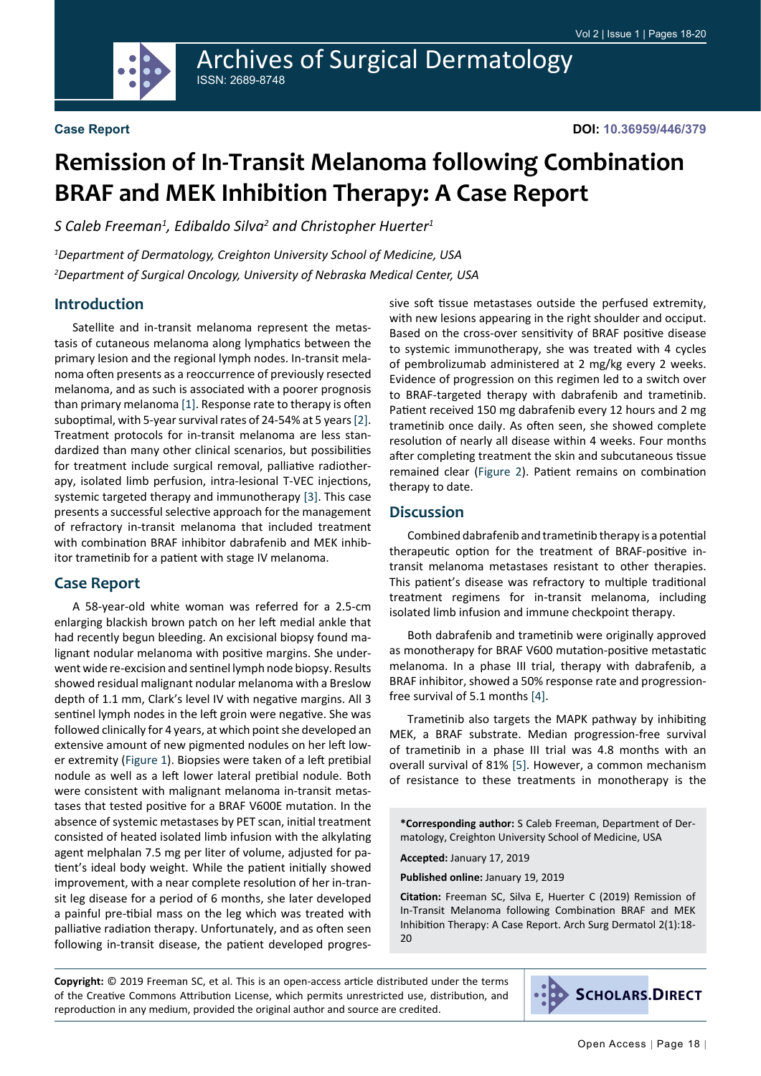

# **Remission of In-Transit Melanoma following Combination BRAF and MEK Inhibition Therapy: A Case Report**

*S Caleb Freeman1 , Edibaldo Silva2 and Christopher Huerter1*

*1 Department of Dermatology, Creighton University School of Medicine, USA 2 Department of Surgical Oncology, University of Nebraska Medical Center, USA*

## **Introduction**

Satellite and in-transit melanoma represent the metastasis of cutaneous melanoma along lymphatics between the primary lesion and the regional lymph nodes. In-transit melanoma often presents as a reoccurrence of previously resected melanoma, and as such is associated with a poorer prognosis than primary melanoma [\[1](#page-2-0)]. Response rate to therapy is often suboptimal, with 5-year survival rates of 24-54% at 5 years [[2\]](#page-2-1). Treatment protocols for in-transit melanoma are less standardized than many other clinical scenarios, but possibilities for treatment include surgical removal, palliative radiotherapy, isolated limb perfusion, intra-lesional T-VEC injections, systemic targeted therapy and immunotherapy [[3\]](#page-2-2). This case presents a successful selective approach for the management of refractory in-transit melanoma that included treatment with combination BRAF inhibitor dabrafenib and MEK inhibitor trametinib for a patient with stage IV melanoma.

## **Case Report**

A 58-year-old white woman was referred for a 2.5-cm enlarging blackish brown patch on her left medial ankle that had recently begun bleeding. An excisional biopsy found malignant nodular melanoma with positive margins. She underwent wide re-excision and sentinel lymph node biopsy. Results showed residual malignant nodular melanoma with a Breslow depth of 1.1 mm, Clark's level IV with negative margins. All 3 sentinel lymph nodes in the left groin were negative. She was followed clinically for 4 years, at which point she developed an extensive amount of new pigmented nodules on her left lower extremity [\(Figure 1\)](#page-1-0). Biopsies were taken of a left pretibial nodule as well as a left lower lateral pretibial nodule. Both were consistent with malignant melanoma in-transit metastases that tested positive for a BRAF V600E mutation. In the absence of systemic metastases by PET scan, initial treatment consisted of heated isolated limb infusion with the alkylating agent melphalan 7.5 mg per liter of volume, adjusted for patient's ideal body weight. While the patient initially showed improvement, with a near complete resolution of her in-transit leg disease for a period of 6 months, she later developed a painful pre-tibial mass on the leg which was treated with palliative radiation therapy. Unfortunately, and as often seen following in-transit disease, the patient developed progressive soft tissue metastases outside the perfused extremity, with new lesions appearing in the right shoulder and occiput. Based on the cross-over sensitivity of BRAF positive disease to systemic immunotherapy, she was treated with 4 cycles of pembrolizumab administered at 2 mg/kg every 2 weeks. Evidence of progression on this regimen led to a switch over to BRAF-targeted therapy with dabrafenib and trametinib. Patient received 150 mg dabrafenib every 12 hours and 2 mg trametinib once daily. As often seen, she showed complete resolution of nearly all disease within 4 weeks. Four months after completing treatment the skin and subcutaneous tissue remained clear [\(Figure 2](#page-1-1)). Patient remains on combination therapy to date.

#### **Discussion**

Combined dabrafenib and trametinib therapy is a potential therapeutic option for the treatment of BRAF-positive intransit melanoma metastases resistant to other therapies. This patient's disease was refractory to multiple traditional treatment regimens for in-transit melanoma, including isolated limb infusion and immune checkpoint therapy.

Both dabrafenib and trametinib were originally approved as monotherapy for BRAF V600 mutation-positive metastatic melanoma. In a phase III trial, therapy with dabrafenib, a BRAF inhibitor, showed a 50% response rate and progressionfree survival of 5.1 months [[4\]](#page-2-3).

Trametinib also targets the MAPK pathway by inhibiting MEK, a BRAF substrate. Median progression-free survival of trametinib in a phase III trial was 4.8 months with an overall survival of 81% [[5\]](#page-2-4). However, a common mechanism of resistance to these treatments in monotherapy is the

**\*Corresponding author:** S Caleb Freeman, Department of Dermatology, Creighton University School of Medicine, USA

**Accepted:** January 17, 2019

**Published online:** January 19, 2019

**Citation:** Freeman SC, Silva E, Huerter C (2019) Remission of In-Transit Melanoma following Combination BRAF and MEK Inhibition Therapy: A Case Report. Arch Surg Dermatol 2(1):18- 20

**Copyright:** © 2019 Freeman SC, et al. This is an open-access article distributed under the terms of the Creative Commons Attribution License, which permits unrestricted use, distribution, and reproduction in any medium, provided the original author and source are credited.

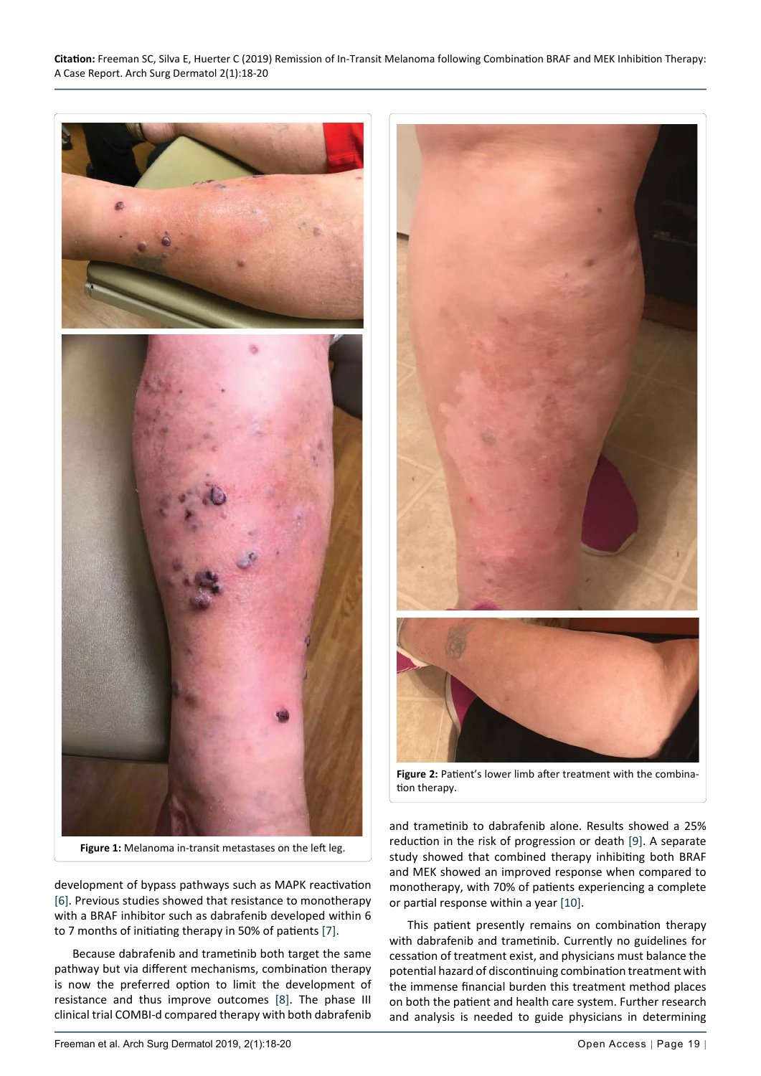<span id="page-1-0"></span>

**Figure 1:** Melanoma in-transit metastases on the left leg.

development of bypass pathways such as MAPK reactivation [[6\]](#page-2-7). Previous studies showed that resistance to monotherapy with a BRAF inhibitor such as dabrafenib developed within 6 to 7 months of initiating therapy in 50% of patients [[7\]](#page-2-8).

Because dabrafenib and trametinib both target the same pathway but via different mechanisms, combination therapy is now the preferred option to limit the development of resistance and thus improve outcomes [\[8](#page-2-9)]. The phase III clinical trial COMBI-d compared therapy with both dabrafenib

<span id="page-1-1"></span>

**Figure 2:** Patient's lower limb after treatment with the combination therapy.

and trametinib to dabrafenib alone. Results showed a 25% reduction in the risk of progression or death [[9\]](#page-2-5). A separate study showed that combined therapy inhibiting both BRAF and MEK showed an improved response when compared to monotherapy, with 70% of patients experiencing a complete or partial response within a year [[10\]](#page-2-6).

This patient presently remains on combination therapy with dabrafenib and trametinib. Currently no guidelines for cessation of treatment exist, and physicians must balance the potential hazard of discontinuing combination treatment with the immense financial burden this treatment method places on both the patient and health care system. Further research and analysis is needed to guide physicians in determining